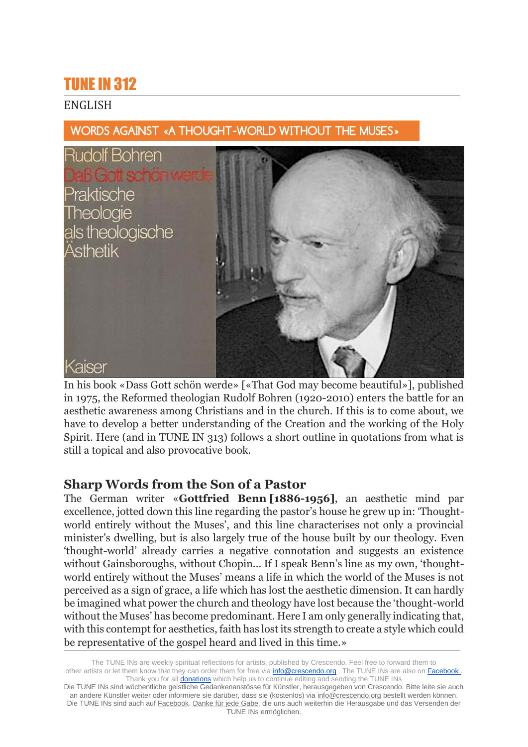# TUNE IN 312

## ENGLISH



WORDS AGAINST «A THOUGHT-WORLD WITHOUT THE MUSES»

In his book «Dass Gott schön werde» [«That God may become beautiful»], published in 1975, the Reformed theologian Rudolf Bohren (1920-2010) enters the battle for an aesthetic awareness among Christians and in the church. If this is to come about, we have to develop a better understanding of the Creation and the working of the Holy Spirit. Here (and in TUNE IN 313) follows a short outline in quotations from what is still a topical and also provocative book.

# **Sharp Words from the Son of a Pastor**

The German writer «**Gottfried Benn [1886-1956]**, an aesthetic mind par excellence, jotted down this line regarding the pastor's house he grew up in: 'Thoughtworld entirely without the Muses', and this line characterises not only a provincial minister's dwelling, but is also largely true of the house built by our theology. Even 'thought-world' already carries a negative connotation and suggests an existence without Gainsboroughs, without Chopin... If I speak Benn's line as my own, 'thoughtworld entirely without the Muses' means a life in which the world of the Muses is not perceived as a sign of grace, a life which has lost the aesthetic dimension. It can hardly be imagined what power the church and theology have lost because the 'thought-world without the Muses' has become predominant. Here I am only generally indicating that, with this contempt for aesthetics, faith has lost its strength to create a style which could be representative of the gospel heard and lived in this time.»

The TUNE INs are weekly spiritual reflections for artists, published by Crescendo. Feel free to forward them to other artists or let them know that they can order them for free via **info@crescendo.org** . The TUNE INs are also on Facebook . Thank you for all **donations** which help us to continue editing and sending the TUNE INs

Die TUNE INs sind wöchentliche geistliche Gedankenanstösse für Künstler, herausgegeben von Crescendo. Bitte leite sie auch an andere Künstler weiter oder informiere sie darüber, dass sie (kostenlos) via [info@crescendo.org](mailto:info@crescendo.org) bestellt werden können. Die TUNE INs sind auch auf [Facebook.](https://www.facebook.com/TUNEINs/) [Danke für jede Gabe,](https://www.crescendo.org/de/kontakt--spenden.html) die uns auch weiterhin die Herausgabe und das Versenden der TUNE INs ermöglichen.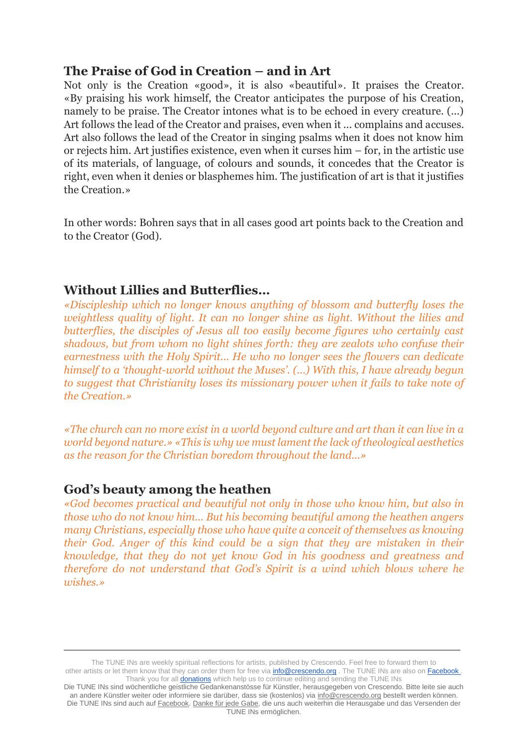#### **The Praise of God in Creation – and in Art**

Not only is the Creation «good», it is also «beautiful». It praises the Creator. «By praising his work himself, the Creator anticipates the purpose of his Creation, namely to be praise. The Creator intones what is to be echoed in every creature. (...) Art follows the lead of the Creator and praises, even when it ... complains and accuses. Art also follows the lead of the Creator in singing psalms when it does not know him or rejects him. Art justifies existence, even when it curses him – for, in the artistic use of its materials, of language, of colours and sounds, it concedes that the Creator is right, even when it denies or blasphemes him. The justification of art is that it justifies the Creation.»

In other words: Bohren says that in all cases good art points back to the Creation and to the Creator (God).

## **Without Lillies and Butterflies…**

*«Discipleship which no longer knows anything of blossom and butterfly loses the weightless quality of light. It can no longer shine as light. Without the lilies and butterflies, the disciples of Jesus all too easily become figures who certainly cast shadows, but from whom no light shines forth: they are zealots who confuse their earnestness with the Holy Spirit... He who no longer sees the flowers can dedicate himself to a 'thought-world without the Muses'. (...) With this, I have already begun to suggest that Christianity loses its missionary power when it fails to take note of the Creation.»*

*«The church can no more exist in a world beyond culture and art than it can live in a world beyond nature.» «This is why we must lament the lack of theological aesthetics as the reason for the Christian boredom throughout the land...»*

#### **God's beauty among the heathen**

*«God becomes practical and beautiful not only in those who know him, but also in those who do not know him... But his becoming beautiful among the heathen angers many Christians, especially those who have quite a conceit of themselves as knowing their God. Anger of this kind could be a sign that they are mistaken in their knowledge, that they do not yet know God in his goodness and greatness and therefore do not understand that God's Spirit is a wind which blows where he wishes.»*

The TUNE INs are weekly spiritual reflections for artists, published by Crescendo. Feel free to forward them to other artists or let them know that they can order them for free via **info@crescendo.org** . The TUNE INs are also on Facebook Thank you for all **donations** which help us to continue editing and sending the TUNE INs

Die TUNE INs sind wöchentliche geistliche Gedankenanstösse für Künstler, herausgegeben von Crescendo. Bitte leite sie auch an andere Künstler weiter oder informiere sie darüber, dass sie (kostenlos) via [info@crescendo.org](mailto:info@crescendo.org) bestellt werden können. Die TUNE INs sind auch auf [Facebook.](https://www.facebook.com/TUNEINs/) [Danke für jede Gabe,](https://www.crescendo.org/de/kontakt--spenden.html) die uns auch weiterhin die Herausgabe und das Versenden der TUNE INs ermöglichen.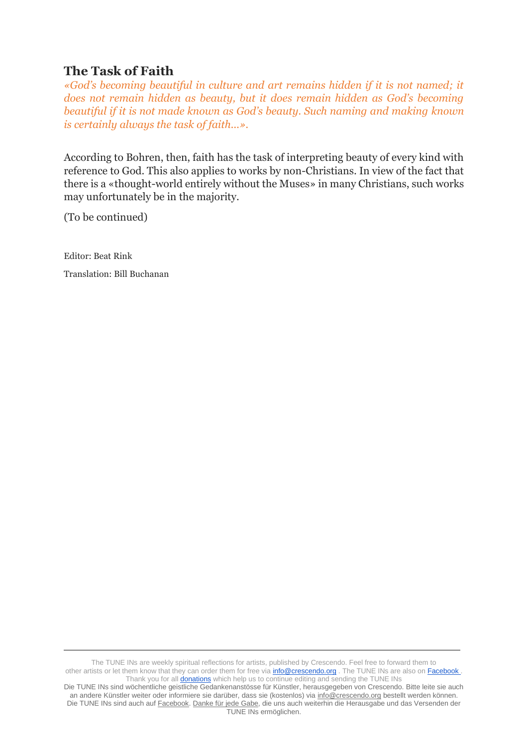## **The Task of Faith**

*«God's becoming beautiful in culture and art remains hidden if it is not named; it does not remain hidden as beauty, but it does remain hidden as God's becoming beautiful if it is not made known as God's beauty. Such naming and making known is certainly always the task of faith...».*

According to Bohren, then, faith has the task of interpreting beauty of every kind with reference to God. This also applies to works by non-Christians. In view of the fact that there is a «thought-world entirely without the Muses» in many Christians, such works may unfortunately be in the majority.

(To be continued)

Editor: Beat Rink

Translation: Bill Buchanan

The TUNE INs are weekly spiritual reflections for artists, published by Crescendo. Feel free to forward them to other artists or let them know that they can order them for free via **info@crescendo.org** . The TUNE INs are also on Facebook . Thank you for all **donations** which help us to continue editing and sending the TUNE INs

Die TUNE INs sind wöchentliche geistliche Gedankenanstösse für Künstler, herausgegeben von Crescendo. Bitte leite sie auch an andere Künstler weiter oder informiere sie darüber, dass sie (kostenlos) via [info@crescendo.org](mailto:info@crescendo.org) bestellt werden können. Die TUNE INs sind auch auf [Facebook.](https://www.facebook.com/TUNEINs/) [Danke für jede Gabe,](https://www.crescendo.org/de/kontakt--spenden.html) die uns auch weiterhin die Herausgabe und das Versenden der TUNE INs ermöglichen.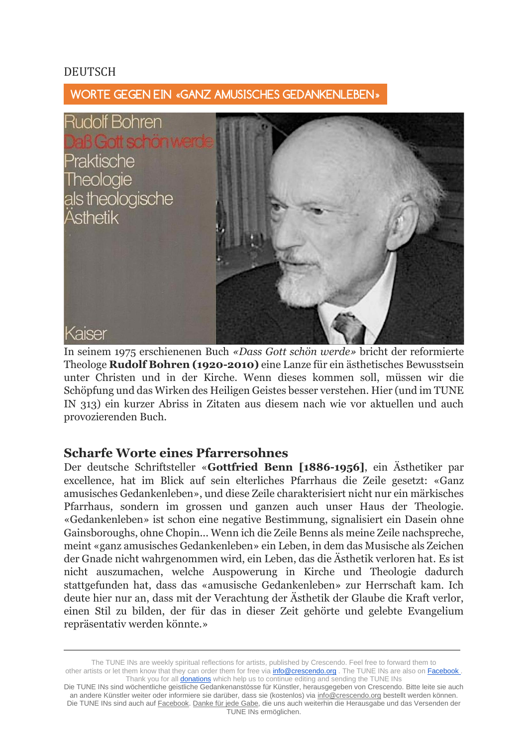#### DEUTSCH

WORTE GEGEN EIN «GANZ AMUSISCHES GEDANKENLEBEN»



In seinem 1975 erschienenen Buch *«Dass Gott schön werde»* bricht der reformierte Theologe **Rudolf Bohren (1920-2010)** eine Lanze für ein ästhetisches Bewusstsein unter Christen und in der Kirche. Wenn dieses kommen soll, müssen wir die Schöpfung und das Wirken des Heiligen Geistes besser verstehen. Hier (und im TUNE IN 313) ein kurzer Abriss in Zitaten aus diesem nach wie vor aktuellen und auch provozierenden Buch.

#### **Scharfe Worte eines Pfarrersohnes**

Der deutsche Schriftsteller «**Gottfried Benn [1886-1956]**, ein Ästhetiker par excellence, hat im Blick auf sein elterliches Pfarrhaus die Zeile gesetzt: «Ganz amusisches Gedankenleben», und diese Zeile charakterisiert nicht nur ein märkisches Pfarrhaus, sondern im grossen und ganzen auch unser Haus der Theologie. «Gedankenleben» ist schon eine negative Bestimmung, signalisiert ein Dasein ohne Gainsboroughs, ohne Chopin... Wenn ich die Zeile Benns als meine Zeile nachspreche, meint «ganz amusisches Gedankenleben» ein Leben, in dem das Musische als Zeichen der Gnade nicht wahrgenommen wird, ein Leben, das die Ästhetik verloren hat. Es ist nicht auszumachen, welche Auspowerung in Kirche und Theologie dadurch stattgefunden hat, dass das «amusische Gedankenleben» zur Herrschaft kam. Ich deute hier nur an, dass mit der Verachtung der Ästhetik der Glaube die Kraft verlor, einen Stil zu bilden, der für das in dieser Zeit gehörte und gelebte Evangelium repräsentativ werden könnte.»

The TUNE INs are weekly spiritual reflections for artists, published by Crescendo. Feel free to forward them to other artists or let them know that they can order them for free via **info@crescendo.org** . The TUNE INs are also on Facebook . Thank you for all **donations** which help us to continue editing and sending the TUNE INs

Die TUNE INs sind wöchentliche geistliche Gedankenanstösse für Künstler, herausgegeben von Crescendo. Bitte leite sie auch an andere Künstler weiter oder informiere sie darüber, dass sie (kostenlos) via [info@crescendo.org](mailto:info@crescendo.org) bestellt werden können. Die TUNE INs sind auch auf [Facebook.](https://www.facebook.com/TUNEINs/) [Danke für jede Gabe,](https://www.crescendo.org/de/kontakt--spenden.html) die uns auch weiterhin die Herausgabe und das Versenden der TUNE INs ermöglichen.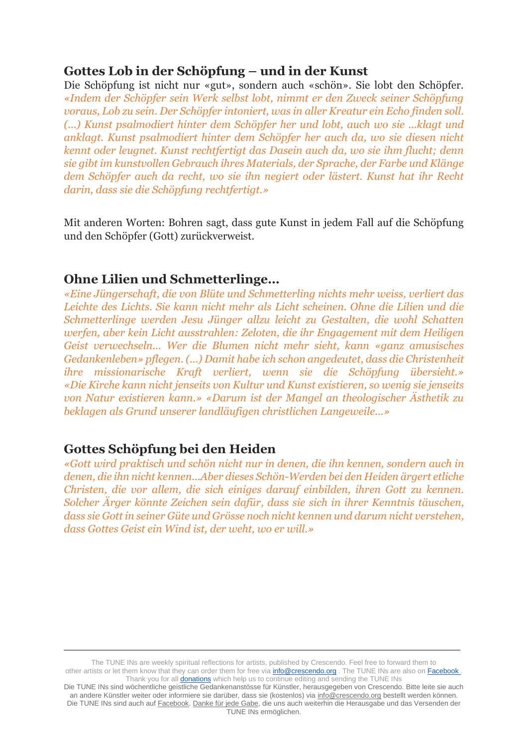## **Gottes Lob in der Schöpfung – und in der Kunst**

Die Schöpfung ist nicht nur «gut», sondern auch «schön». Sie lobt den Schöpfer. *«Indem der Schöpfer sein Werk selbst lobt, nimmt er den Zweck seiner Schöpfung voraus, Lob zu sein. Der Schöpfer intoniert, was in aller Kreatur ein Echo finden soll. (...) Kunst psalmodiert hinter dem Schöpfer her und lobt, auch wo sie ...klagt und anklagt. Kunst psalmodiert hinter dem Schöpfer her auch da, wo sie diesen nicht kennt oder leugnet. Kunst rechtfertigt das Dasein auch da, wo sie ihm flucht; denn sie gibt im kunstvollen Gebrauch ihres Materials, der Sprache, der Farbe und Klänge dem Schöpfer auch da recht, wo sie ihn negiert oder lästert. Kunst hat ihr Recht darin, dass sie die Schöpfung rechtfertigt.»*

Mit anderen Worten: Bohren sagt, dass gute Kunst in jedem Fall auf die Schöpfung und den Schöpfer (Gott) zurückverweist.

#### **Ohne Lilien und Schmetterlinge…**

*«Eine Jüngerschaft, die von Blüte und Schmetterling nichts mehr weiss, verliert das Leichte des Lichts. Sie kann nicht mehr als Licht scheinen. Ohne die Lilien und die Schmetterlinge werden Jesu Jünger allzu leicht zu Gestalten, die wohl Schatten werfen, aber kein Licht ausstrahlen: Zeloten, die ihr Engagement mit dem Heiligen Geist verwechseln... Wer die Blumen nicht mehr sieht, kann «ganz amusisches Gedankenleben» pflegen. (...) Damit habe ich schon angedeutet, dass die Christenheit ihre missionarische Kraft verliert, wenn sie die Schöpfung übersieht.» «Die Kirche kann nicht jenseits von Kultur und Kunst existieren, so wenig sie jenseits von Natur existieren kann.» «Darum ist der Mangel an theologischer Ästhetik zu beklagen als Grund unserer landläufigen christlichen Langeweile...»*

## **Gottes Schöpfung bei den Heiden**

*«Gott wird praktisch und schön nicht nur in denen, die ihn kennen, sondern auch in denen, die ihn nicht kennen...Aber dieses Schön-Werden bei den Heiden ärgert etliche Christen, die vor allem, die sich einiges darauf einbilden, ihren Gott zu kennen. Solcher Ärger könnte Zeichen sein dafür, dass sie sich in ihrer Kenntnis täuschen, dass sie Gott in seiner Güte und Grösse noch nicht kennen und darum nicht verstehen, dass Gottes Geist ein Wind ist, der weht, wo er will.»*

The TUNE INs are weekly spiritual reflections for artists, published by Crescendo. Feel free to forward them to other artists or let them know that they can order them for free via **info@crescendo.org** . The TUNE INs are also on Facebook Thank you for all **donations** which help us to continue editing and sending the TUNE INs

Die TUNE INs sind wöchentliche geistliche Gedankenanstösse für Künstler, herausgegeben von Crescendo. Bitte leite sie auch an andere Künstler weiter oder informiere sie darüber, dass sie (kostenlos) via [info@crescendo.org](mailto:info@crescendo.org) bestellt werden können. Die TUNE INs sind auch auf [Facebook.](https://www.facebook.com/TUNEINs/) [Danke für jede Gabe,](https://www.crescendo.org/de/kontakt--spenden.html) die uns auch weiterhin die Herausgabe und das Versenden der TUNE INs ermöglichen.